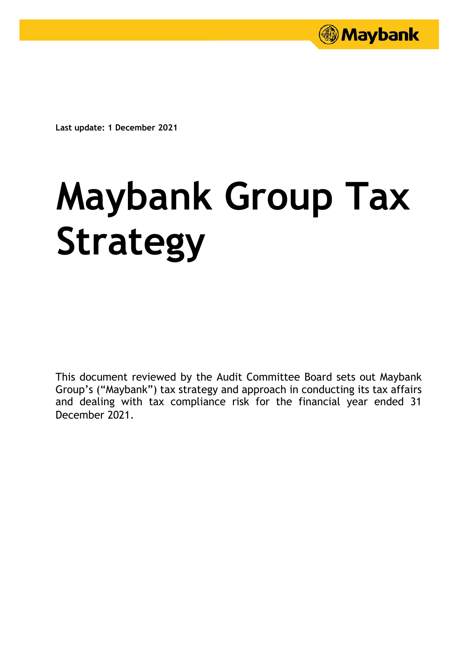

**Last update: 1 December 2021**

# **Maybank Group Tax Strategy**

This document reviewed by the Audit Committee Board sets out Maybank Group's ("Maybank") tax strategy and approach in conducting its tax affairs and dealing with tax compliance risk for the financial year ended 31 December 2021.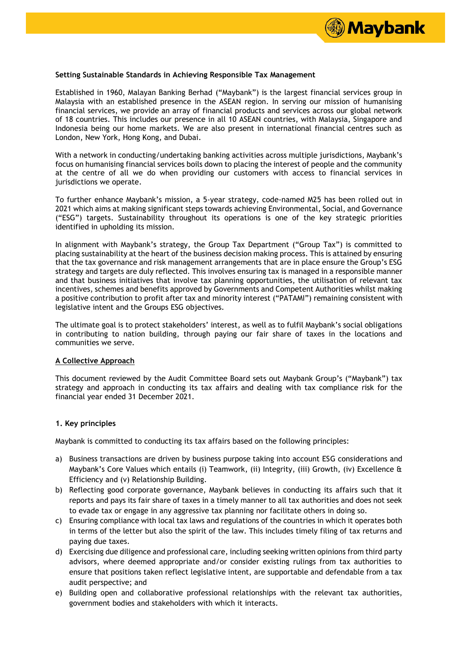

# **Setting Sustainable Standards in Achieving Responsible Tax Management**

Established in 1960, Malayan Banking Berhad ("Maybank") is the largest financial services group in Malaysia with an established presence in the ASEAN region. In serving our mission of humanising financial services, we provide an array of financial products and services across our global network of 18 countries. This includes our presence in all 10 ASEAN countries, with Malaysia, Singapore and Indonesia being our home markets. We are also present in international financial centres such as London, New York, Hong Kong, and Dubai.

With a network in conducting/undertaking banking activities across multiple jurisdictions, Maybank's focus on humanising financial services boils down to placing the interest of people and the community at the centre of all we do when providing our customers with access to financial services in jurisdictions we operate.

To further enhance Maybank's mission, a 5-year strategy, code-named M25 has been rolled out in 2021 which aims at making significant steps towards achieving Environmental, Social, and Governance ("ESG") targets. Sustainability throughout its operations is one of the key strategic priorities identified in upholding its mission.

In alignment with Maybank's strategy, the Group Tax Department ("Group Tax") is committed to placing sustainability at the heart of the business decision making process. This is attained by ensuring that the tax governance and risk management arrangements that are in place ensure the Group's ESG strategy and targets are duly reflected. This involves ensuring tax is managed in a responsible manner and that business initiatives that involve tax planning opportunities, the utilisation of relevant tax incentives, schemes and benefits approved by Governments and Competent Authorities whilst making a positive contribution to profit after tax and minority interest ("PATAMI") remaining consistent with legislative intent and the Groups ESG objectives.

The ultimate goal is to protect stakeholders' interest, as well as to fulfil Maybank's social obligations in contributing to nation building, through paying our fair share of taxes in the locations and communities we serve.

# **A Collective Approach**

This document reviewed by the Audit Committee Board sets out Maybank Group's ("Maybank") tax strategy and approach in conducting its tax affairs and dealing with tax compliance risk for the financial year ended 31 December 2021.

# **1. Key principles**

Maybank is committed to conducting its tax affairs based on the following principles:

- a) Business transactions are driven by business purpose taking into account ESG considerations and Maybank's Core Values which entails (i) Teamwork, (ii) Integrity, (iii) Growth, (iv) Excellence & Efficiency and (v) Relationship Building.
- b) Reflecting good corporate governance, Maybank believes in conducting its affairs such that it reports and pays its fair share of taxes in a timely manner to all tax authorities and does not seek to evade tax or engage in any aggressive tax planning nor facilitate others in doing so.
- c) Ensuring compliance with local tax laws and regulations of the countries in which it operates both in terms of the letter but also the spirit of the law. This includes timely filing of tax returns and paying due taxes.
- d) Exercising due diligence and professional care, including seeking written opinions from third party advisors, where deemed appropriate and/or consider existing rulings from tax authorities to ensure that positions taken reflect legislative intent, are supportable and defendable from a tax audit perspective; and
- e) Building open and collaborative professional relationships with the relevant tax authorities, government bodies and stakeholders with which it interacts.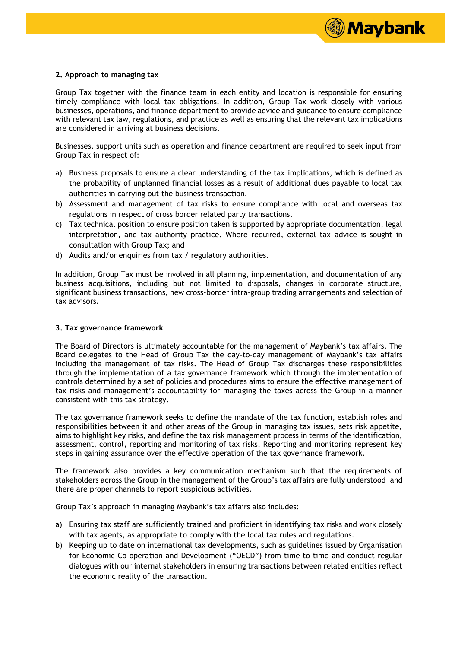

# **2. Approach to managing tax**

Group Tax together with the finance team in each entity and location is responsible for ensuring timely compliance with local tax obligations. In addition, Group Tax work closely with various businesses, operations, and finance department to provide advice and guidance to ensure compliance with relevant tax law, regulations, and practice as well as ensuring that the relevant tax implications are considered in arriving at business decisions.

Businesses, support units such as operation and finance department are required to seek input from Group Tax in respect of:

- a) Business proposals to ensure a clear understanding of the tax implications, which is defined as the probability of unplanned financial losses as a result of additional dues payable to local tax authorities in carrying out the business transaction.
- b) Assessment and management of tax risks to ensure compliance with local and overseas tax regulations in respect of cross border related party transactions.
- c) Tax technical position to ensure position taken is supported by appropriate documentation, legal interpretation, and tax authority practice. Where required, external tax advice is sought in consultation with Group Tax; and
- d) Audits and/or enquiries from tax / regulatory authorities.

In addition, Group Tax must be involved in all planning, implementation, and documentation of any business acquisitions, including but not limited to disposals, changes in corporate structure, significant business transactions, new cross-border intra-group trading arrangements and selection of tax advisors.

# **3. Tax governance framework**

The Board of Directors is ultimately accountable for the management of Maybank's tax affairs. The Board delegates to the Head of Group Tax the day-to-day management of Maybank's tax affairs including the management of tax risks. The Head of Group Tax discharges these responsibilities through the implementation of a tax governance framework which through the implementation of controls determined by a set of policies and procedures aims to ensure the effective management of tax risks and management's accountability for managing the taxes across the Group in a manner consistent with this tax strategy.

The tax governance framework seeks to define the mandate of the tax function, establish roles and responsibilities between it and other areas of the Group in managing tax issues, sets risk appetite, aims to highlight key risks, and define the tax risk management process in terms of the identification, assessment, control, reporting and monitoring of tax risks. Reporting and monitoring represent key steps in gaining assurance over the effective operation of the tax governance framework.

The framework also provides a key communication mechanism such that the requirements of stakeholders across the Group in the management of the Group's tax affairs are fully understood and there are proper channels to report suspicious activities.

Group Tax's approach in managing Maybank's tax affairs also includes:

- a) Ensuring tax staff are sufficiently trained and proficient in identifying tax risks and work closely with tax agents, as appropriate to comply with the local tax rules and regulations.
- b) Keeping up to date on international tax developments, such as guidelines issued by Organisation for Economic Co-operation and Development ("OECD") from time to time and conduct regular dialogues with our internal stakeholders in ensuring transactions between related entities reflect the economic reality of the transaction.